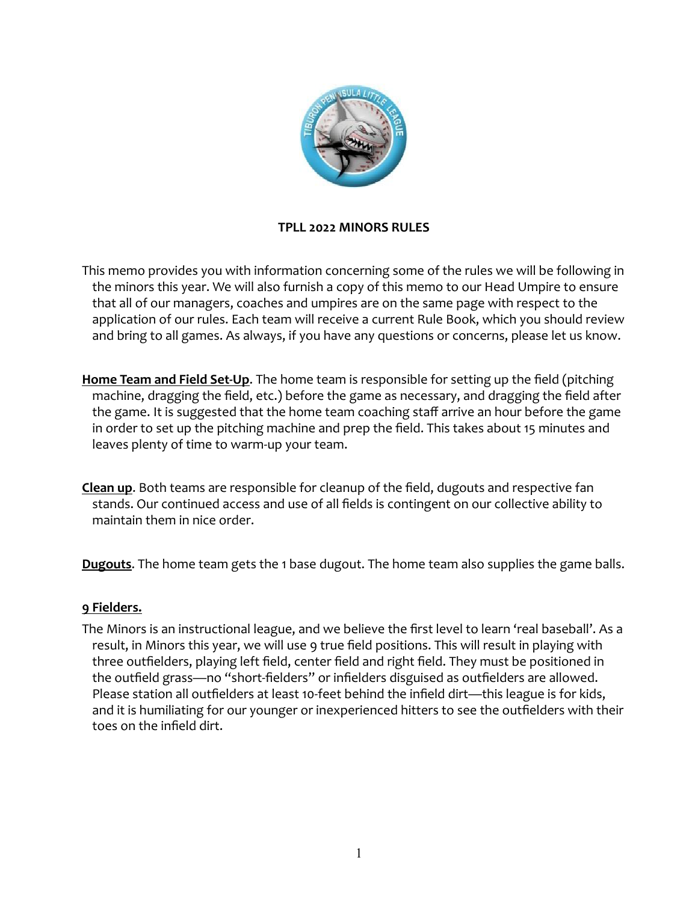

### **TPLL 2022 MINORS RULES**

This memo provides you with information concerning some of the rules we will be following in the minors this year. We will also furnish a copy of this memo to our Head Umpire to ensure that all of our managers, coaches and umpires are on the same page with respect to the application of our rules. Each team will receive a current Rule Book, which you should review and bring to all games. As always, if you have any questions or concerns, please let us know.

Home Team and Field Set-Up. The home team is responsible for setting up the field (pitching machine, dragging the field, etc.) before the game as necessary, and dragging the field after the game. It is suggested that the home team coaching staff arrive an hour before the game in order to set up the pitching machine and prep the field. This takes about 15 minutes and leaves plenty of time to warm-up your team.

**Clean up.** Both teams are responsible for cleanup of the field, dugouts and respective fan stands. Our continued access and use of all fields is contingent on our collective ability to maintain them in nice order.

**Dugouts**.The home team gets the 1base dugout. The home team also supplies the game balls.

### **9 Fielders.**

The Minors is an instructional league, and we believe the first level to learn 'real baseball'. As a result, in Minors this year, we will use 9 true field positions. This will result in playing with three outfielders, playing left field, center field and right field. They must be positioned in the outfield grass—no "short-fielders" or infielders disguised as outfielders are allowed. Please station all outfielders at least 10-feet behind the infield dirt—this league is for kids, and it is humiliating for our younger or inexperienced hitters to see the outfielders with their toes on the infield dirt.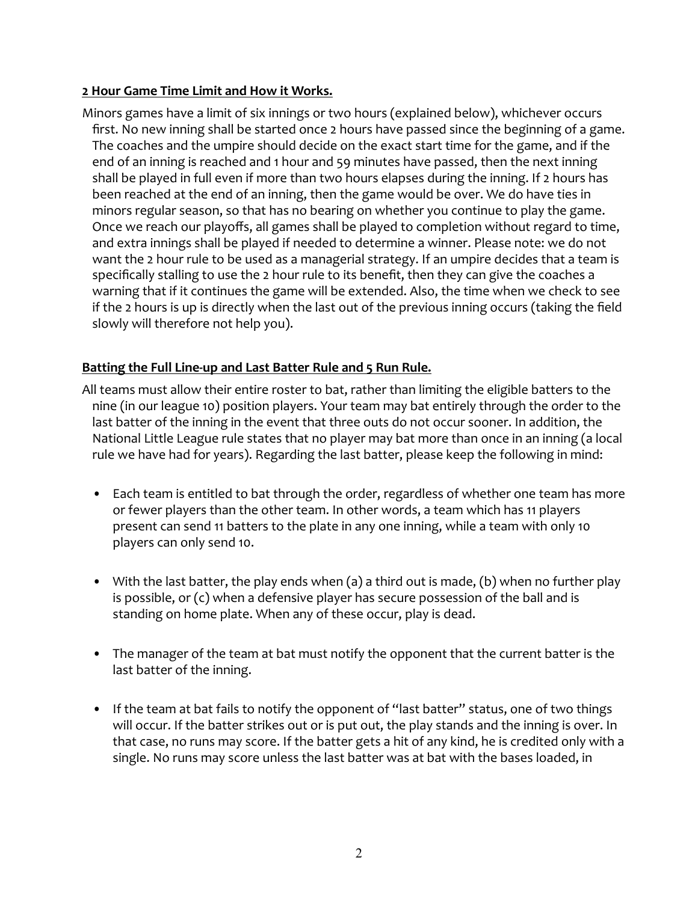## **2 Hour Game Time Limit and How it Works.**

Minors games have a limit of six innings or two hours (explained below), whichever occurs first. No new inning shall be started once 2 hours have passed since the beginning of a game. The coaches and the umpire should decide on the exact start time for the game, and if the end of an inning is reached and 1 hour and 59 minutes have passed, then the next inning shall be played in full even if more than two hours elapses during the inning. If 2 hours has been reached at the end of an inning, then the game would be over. We do have ties in minors regular season, so that has no bearing on whether you continue to play the game. Once we reach our playoffs, all games shall be played to completion without regard to time, and extra innings shall be played if needed to determine a winner. Please note: we do not want the 2 hour rule to be used as a managerial strategy. If an umpire decides that a team is specifically stalling to use the 2 hour rule to its benefit, then they can give the coaches a warning that if it continues the game will be extended. Also, the time when we check to see if the 2 hours is up is directly when the last out of the previous inning occurs (taking the field slowly will therefore not help you).

# **Batting the Full Line-up and Last Batter Rule and 5 Run Rule.**

- All teams must allow their entire roster to bat, rather than limiting the eligible batters to the nine (in our league 10) position players. Your team may bat entirely through the order to the last batter of the inning in the event that three outs do not occur sooner. In addition, the National Little League rule states that no player may bat more than once in an inning (a local rule we have had for years). Regarding the last batter, please keep the following in mind:
	- Each team is entitled to bat through the order, regardless of whether one team has more or fewer players than the other team. In other words, a team which has 11 players present can send 11 batters to the plate in any one inning, while a team with only 10 players can only send 10.
	- With the last batter, the play ends when (a) a third out is made, (b) when no further play is possible, or (c) when a defensive player has secure possession of the ball and is standing on home plate. When any of these occur, play is dead.
	- The manager of the team at bat must notify the opponent that the current batter is the last batter of the inning.
	- If the team at bat fails to notify the opponent of "last batter" status, one of two things will occur. If the batter strikes out or is put out, the play stands and the inning is over. In that case, no runs may score . If the batter gets a hit of any kind, he is credited only with a single. No runs may score unless the last batter was at bat with the bases loaded, in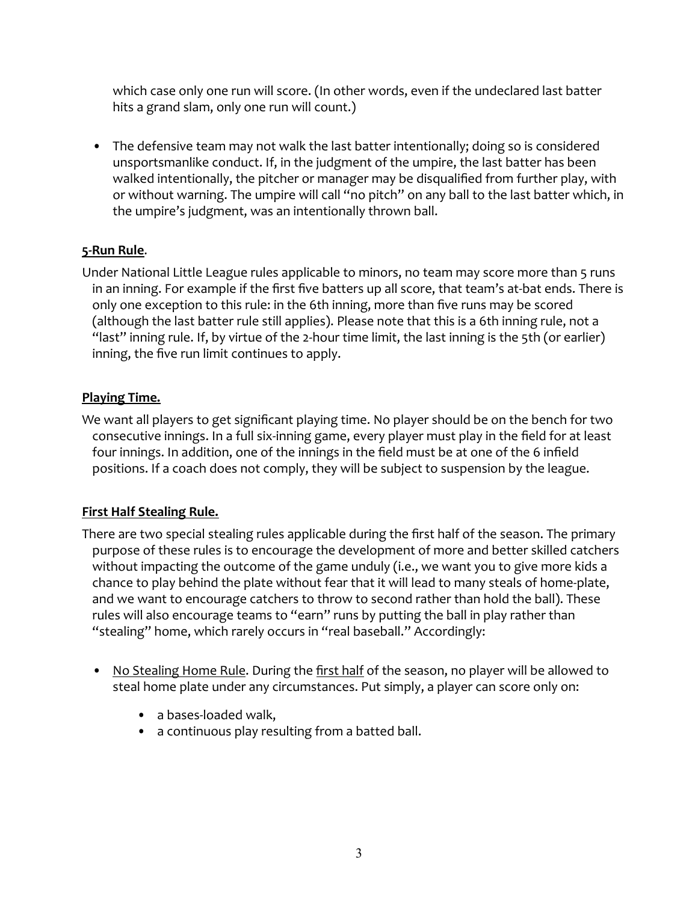which case only one run will score. (In other words, even if the undeclared last batter hits a grand slam, only one run will count.)

• The defensive team may not walk the last batter intentionally; doing so is considered unsportsmanlike conduct. If, in the judgment of the umpire, the last batter has been walked intentionally, the pitcher or manager may be disqualified from further play, with or without warning. The umpire will call "no pitch" on any ball to the last batter which, in the umpire's judgment, was an intentionally thrown ball.

# **5-Run Rule**.

Under National Little League rules applicable to minors, no team may score more than 5 runs in an inning. For example if the first five batters up all score, that team's at-bat ends. There is only one exception to this rule: in the 6th inning, more than five runs may be scored (although the last batter rule still applies). Please note that this is a 6th inning rule, not a "last" inning rule. If, by virtue of the 2-hour time limit, the last inning is the 5th (or earlier) inning, the five run limit continues to apply.

# **Playing Time.**

We want all players to get significant playing time. No player should be on the bench for two consecutive innings. In a full six-inning game, every player must play in the field for at least four innings. In addition, one of the innings in the field must be at one of the 6 infield positions. If a coach does not comply, they will be subject to suspension by the league.

# **First Half Stealing Rule.**

There are two special stealing rules applicable during the first half of the season. The primary purpose of these rules is to encourage the development of more and better skilled catchers without impacting the outcome of the game unduly (i.e., we want you to give more kids a chance to play behind the plate without fear that it will lead to many steals of home-plate, and we want to encourage catchers to throw to second rather than hold the ball). These rules will also encourage teams to "earn" runs by putting the ball in play rather than "stealing" home, which rarely occurs in "real baseball." Accordingly:

- No Stealing Home Rule. During the first half of the season, no player will be allowed to steal home plate under any circumstances. Put simply, a player can score only on:
	- a bases-loaded walk,
	- a continuous play resulting from a batted ball.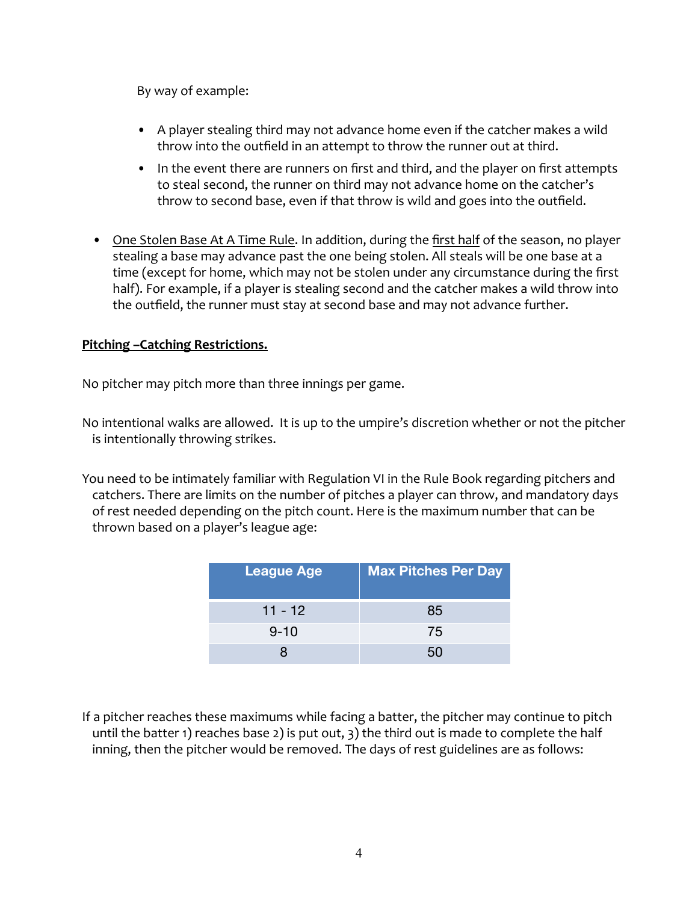By way of example:

- A player stealing third may not advance home even if the catcher makes a wild throw into the outfield in an attempt to throw the runner out at third.
- In the event there are runners on first and third, and the player on first attempts to steal second, the runner on third may not advance home on the catcher's throw to second base, even if that throw is wild and goes into the outfield.
- One Stolen Base At A Time Rule. In addition, during the first half of the season, no player stealing a base may advance past the one being stolen. All steals will be one base at a time (except for home, which may not be stolen under any circumstance during the first half). For example, if a player is stealing second and the catcher makes a wild throw into the outfield, the runner must stay at second base and may not advance further.

## **Pitching –Catching Restrictions.**

No pitcher may pitch more than three innings per game.

No intentional walks are allowed. It is up to the umpire's discretion whether or not the pitcher is intentionally throwing strikes.

You need to be intimately familiar with Regulation VI in the Rule Book regarding pitchers and catchers. There are limits on the number of pitches a player can throw, and mandatory days of rest needed depending on the pitch count. Here is the maximum number that can be thrown based on a player's league age:

| League Age | <b>Max Pitches Per Day</b> |
|------------|----------------------------|
| $11 - 12$  | 85                         |
| $9 - 10$   | 75                         |
|            | 5Ω                         |

If a pitcher reaches these maximums while facing a batter, the pitcher may continue to pitch until the batter 1) reaches base 2) is put out, 3) the third out is made to complete the half inning, then the pitcher would be removed. The days of rest guidelines are as follows: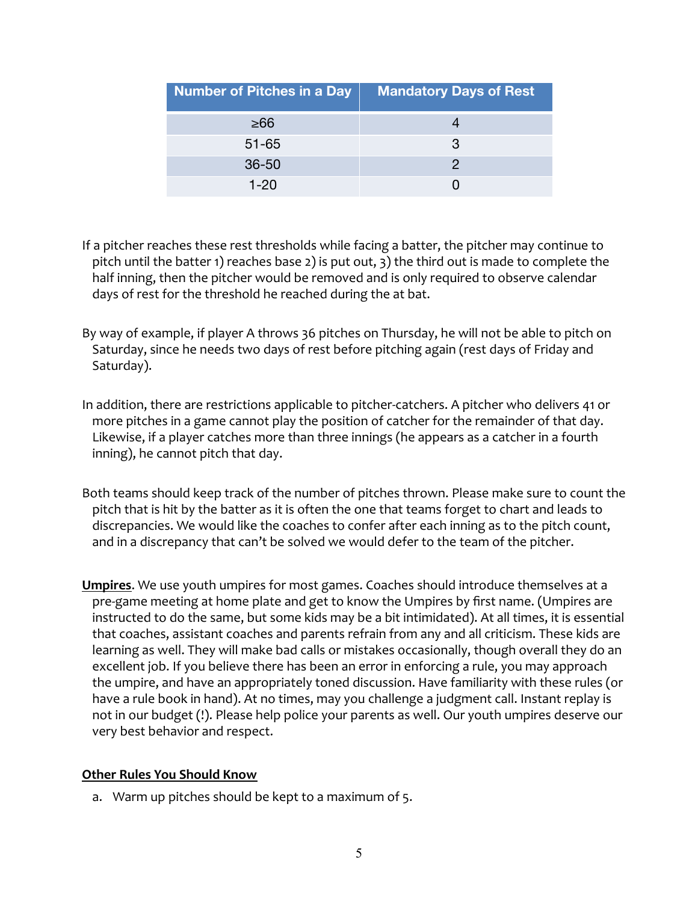| Number of Pitches in a Day | <b>Mandatory Days of Rest</b> |
|----------------------------|-------------------------------|
| >66                        |                               |
| $51 - 65$                  | R                             |
| $36 - 50$                  |                               |
| 1-20                       |                               |

- If a pitcher reaches these rest thresholds while facing a batter, the pitcher may continue to pitch until the batter 1) reaches base 2) is put out, 3) the third out is made to complete the half inning, then the pitcher would be removed and is only required to observe calendar days of rest for the threshold he reached during the at bat.
- By way of example, if player A throws 36 pitches on Thursday, he will not be able to pitch on Saturday, since he needs two days of rest before pitching again (rest days of Friday and Saturday).
- In addition, there are restrictions applicable to pitcher-catchers. A pitcher who delivers 41 or more pitches in a game cannot play the position of catcher for the remainder of that day. Likewise, if a player catches more than three innings (he appears as a catcher in a fourth inning), he cannot pitch that day.
- Both teams should keep track of the number of pitches thrown. Please make sure to count the pitch that is hit by the batter as it is often the one that teams forget to chart and leads to discrepancies. We would like the coaches to confer after each inning as to the pitch count, and in a discrepancy that can't be solved we would defer to the team of the pitcher.
- **Umpires**. We use youth umpires for most games. Coaches should introduce themselves at a pre-game meeting at home plate and get to know the Umpires by first name. (Umpires are instructed to do the same, but some kids may be a bit intimidated). At all times, it is essential that coaches, assistant coaches and parents refrain from any and all criticism. These kids are learning as well. They will make bad calls or mistakes occasionally, though overall they do an excellent job. If you believe there has been an error in enforcing a rule, you may approach the umpire, and have an appropriately toned discussion. Have familiarity with these rules (or have a rule book in hand). At no times, may you challenge a judgment call. Instant replay is not in our budget (!). Please help police your parents as well. Our youth umpires deserve our very best behavior and respect.

### **Other Rules You Should Know**

a. Warm up pitches should be kept to a maximum of 5.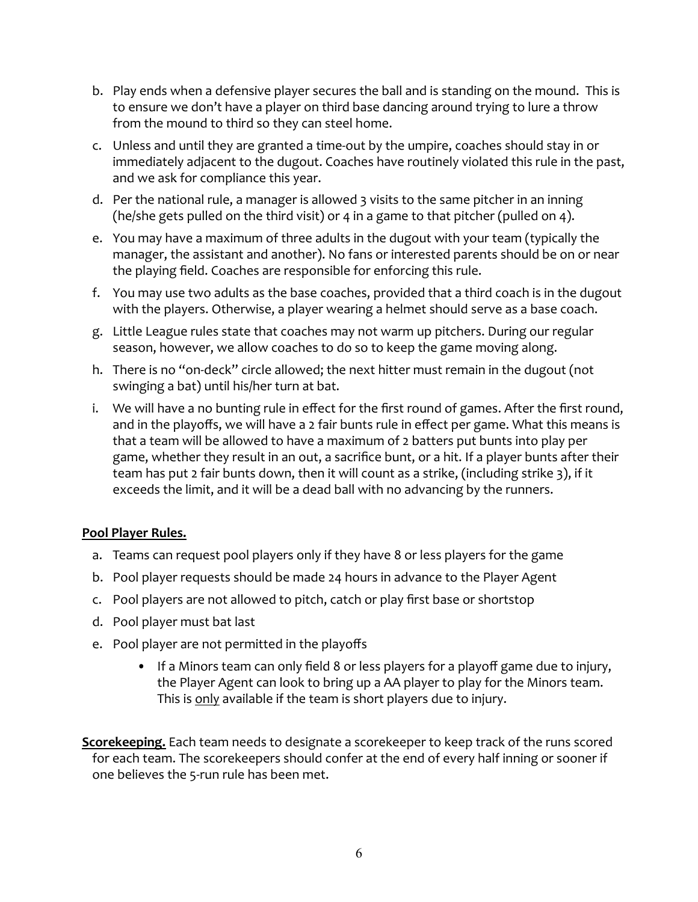- b. Play ends when a defensive player secures the ball and is standing on the mound. This is to ensure we don't have a player on third base dancing around trying to lure a throw from the mound to third so they can steel home.
- c. Unless and until they are granted a time-out by the umpire, coaches should stay in or immediately adjacent to the dugout. Coaches have routinely violated this rule in the past, and we ask for compliance this year.
- d. Per the national rule, a manager is allowed 3 visits to the same pitcher in an inning (he/she gets pulled on the third visit) or 4 in a game to that pitcher(pulled on 4).
- e. You may have a maximum of three adults in the dugout with your team (typically the manager, the assistant and another). No fans or interested parents should be on or near the playing field. Coaches are responsible for enforcing this rule.
- f. You may use two adults as the base coaches, provided that a third coach is in the dugout with the players. Otherwise, a player wearing a helmet should serve as a base coach.
- g. Little League rules state that coaches may not warm up pitchers. During our regular season, however, we allow coaches to do so to keep the game moving along.
- h. There is no "on-deck" circle allowed; the next hitter must remain in the dugout (not swinging a bat) until his/her turn at bat.
- i. We will have a no bunting rule in effect for the first round of games. After the first round, and in the playoffs, we will have a 2 fair bunts rule in effect per game. What this means is that a team will be allowed to have a maximum of 2 batters put bunts into play per game, whether they result in an out, a sacrifice bunt, or a hit. If a player bunts after their team has put 2 fair bunts down, then it will count as a strike, (including strike 3), if it exceeds the limit, and it will be a dead ball with no advancing by the runners.

# **Pool Player Rules.**

- a. Teams can request pool players only if they have 8 or less players for the game
- b. Pool player requests should be made 24 hours in advance to the Player Agent
- c. Pool players are not allowed to pitch, catch or play first base or shortstop
- d. Pool player must bat last
- e. Pool player are not permitted in the playoffs
	- If a Minors team can only field 8 or less players for a playoff game due to injury, the Player Agent can look to bring up a AA player to play for the Minors team. This is only available if the team is short players due to injury.

**Scorekeeping.** Each team needs to designate a scorekeeper to keep track of the runs scored for each team. The scorekeepers should confer at the end of every half inning or sooner if one believes the 5-run rule has been met.